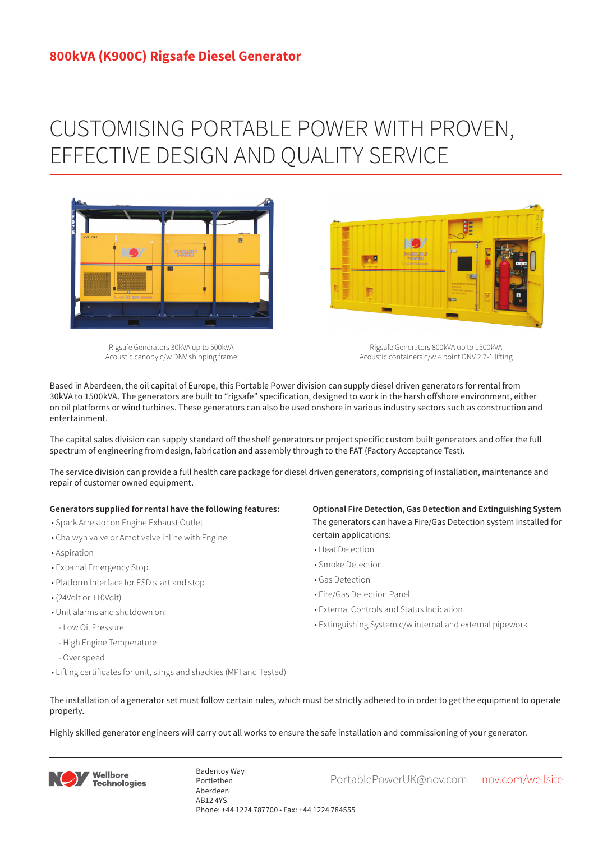## CUSTOMISING PORTABLE POWER WITH PROVEN, EFFECTIVE DESIGN AND QUALITY SERVICE



Rigsafe Generators 30kVA up to 500kVA Acoustic canopy c/w DNV shipping frame

Rigsafe Generators 800kVA up to 1500kVA Acoustic containers c/w 4 point DNV 2.7-1 lifting

Based in Aberdeen, the oil capital of Europe, this Portable Power division can supply diesel driven generators for rental from 30kVA to 1500kVA. The generators are built to "rigsafe" specification, designed to work in the harsh offshore environment, either on oil platforms or wind turbines. These generators can also be used onshore in various industry sectors such as construction and entertainment.

The capital sales division can supply standard off the shelf generators or project specific custom built generators and offer the full spectrum of engineering from design, fabrication and assembly through to the FAT (Factory Acceptance Test).

The service division can provide a full health care package for diesel driven generators, comprising of installation, maintenance and repair of customer owned equipment.

## **Generators supplied for rental have the following features:**

- Spark Arrestor on Engine Exhaust Outlet
- Chalwyn valve or Amot valve inline with Engine
- Aspiration
- External Emergency Stop
- Platform Interface for ESD start and stop
- (24Volt or 110Volt)
- Unit alarms and shutdown on:
- Low Oil Pressure
- High Engine Temperature
- Over speed
- Lifting certificates for unit, slings and shackles (MPI and Tested)

**Optional Fire Detection, Gas Detection and Extinguishing System** The generators can have a Fire/Gas Detection system installed for certain applications:

- Heat Detection
- Smoke Detection
- Gas Detection
- Fire/Gas Detection Panel

**Designation** 

- External Controls and Status Indication
- Extinguishing System c/w internal and external pipework
- The installation of a generator set must follow certain rules, which must be strictly adhered to in order to get the equipment to operate properly.

Highly skilled generator engineers will carry out all works to ensure the safe installation and commissioning of your generator.



Badentoy Way<br>PortablePowerUK@nov.com nov.com/wellsite Portlethen Aberdeen AB12 4YS Phone: +44 1224 787700 • Fax: +44 1224 784555